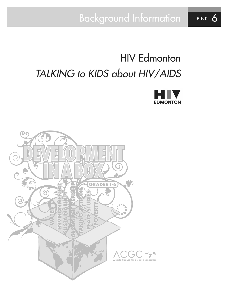Background Information FRINK 6

#### HIV Edmonton *TALKING to KIDS about HIV/AIDS*



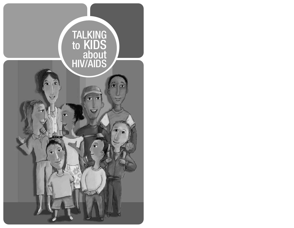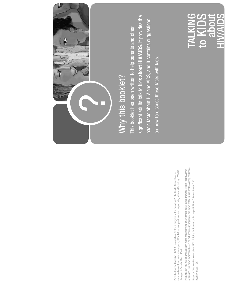#### HIV/AIDS abo to KIDS **TALKING**



## Why this booklet? Why this booklet?

significant adults talk to kids about HIV/AIDS. It provides the significant adults talk to kids **about HIV/AIDS**. It provides the basic facts about HIV and AIDS, and it contains suggestions basic facts about HIV and AIDS, and it contains suggestions This booklet has been written to help parents and other This booklet has been written to help parents and other on how to discuss these facts with kids. on how to discuss these facts with kids.

> Published by the Canadian HIWAIDS Information Centre, a program of the Canadian Public Health Association, in<br>co-operation with sex education experts, HIWAIDS service providers and people living with or affected by HIWAIDS co-operation with sex education experts, HIV/AIDS service providers and people living with or affected by HIV/AIDS Published by the Canadian HIV/AIDS Information Centre, a program of the Canadian Public Health Association, in throughout Canada. March 2005. throughout Canada. March 2005.

Production of this document has been made possible through a financial contribution from the Public Health Agency<br>of Canada. The views expressed herein do not necessarily represent the views of the Public Health Agency of of Canada. The views expressed herein do not necessarily represent the views of the Public Health Agency of Canada. Production of this document has been made possible through a financial contribution from the Public Health Agency

Based on "We Need to Know about AIDS: A Guide for Parents on Talking with Their Children about AIDS," Based on "We Need to Know about AIDS: A Guide for Parents on Talking with Their Children about AIDS," Health Canada, 1997. Health Canada, 1997.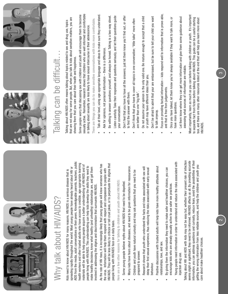|           | Talking can be difficult. | sexually active. Remember, research shows that children who are well informed and comfortable<br>Some people worry that discussing sex with children and youth will encourage them to become<br>that are not easy for some people. But, when you talk to kids about sensitive matters, you are<br>There are things you can do to make sensitive conversations with kids more comfortable.<br>Talking about HIV/AIDS often means talking about topics related to sex and drug use, topics<br>in talking about sexuality are less likely to have sexual intercourse in their adolescence<br>showing them that you care about their health and happiness.                                                                                                                        | Talk at their level, using age-appropriate language and ideas to make sure they understand.<br>Be willing to answer questions yourself, and always be honest. Talking is a two-way street.<br>Listen carefully. Take their responses and questions seriously, and let their questions guide<br>Ask for opinions, not personal information - there is a difference. | Don't feel that you have to have all the answers; just let them know you'll find out, or offer<br>to find the answer with them.<br>your conversation.                                                                                                 | Don't think that you have to cover all topics in one conversation; "little talks" more often<br>are better than one "big talk" | Don't be afraid to admit that your are embarrassed, but be sure to tell your child you want<br>Do not assume your opinion is the only valid one. Be mature enough to accept that a child<br>or youth may have different ideas than you. | to talk anyway.                                                                           |
|-----------|---------------------------|-------------------------------------------------------------------------------------------------------------------------------------------------------------------------------------------------------------------------------------------------------------------------------------------------------------------------------------------------------------------------------------------------------------------------------------------------------------------------------------------------------------------------------------------------------------------------------------------------------------------------------------------------------------------------------------------------------------------------------------------------------------------------------|--------------------------------------------------------------------------------------------------------------------------------------------------------------------------------------------------------------------------------------------------------------------------------------------------------------------------------------------------------------------|-------------------------------------------------------------------------------------------------------------------------------------------------------------------------------------------------------------------------------------------------------|--------------------------------------------------------------------------------------------------------------------------------|-----------------------------------------------------------------------------------------------------------------------------------------------------------------------------------------------------------------------------------------|-------------------------------------------------------------------------------------------|
| $\bullet$ | Why talk about HIV/AIDS?  | AIDS from the media, adult conversations or their peers. Knowledgeable parents, teachers, public<br>health workers and other trusted adults who have access to credible, age-appropriate learning<br>materials will be able to help young people acquire a better understanding of HIV/AIDS and of<br>people living with HIV/AIDS. This understanding can help kids develop the skills they need to<br>spreading rapidly throughout the world. Most young people have already heard about HIV or<br>get them<br>Kids need to know about HIV/AIDS for many reasons. HIV/AIDS is a serious disease that is<br>make healthy decisions, know what healthy (and unhealthy) relationships are, and<br>involved in addressing the stigma and discrimination that surrounds HIV/AIDS. | stigma that<br>As the rate of HIV rises, it is increasingly likely that young people will know someone who has<br>the virus. Information will help them respond with respect and compassion to people with<br>HIV/AIDS. They will be less likely to criticize or tell cruel jokes, or to perpetuate the<br>people living with HIV/ADS face on a daily basis.       | Many kids have fears about diseases, and need to be given information for reassurance.<br>Here are a few other reasons for talking to children and youth about HIV/AIDS:<br>Some young people believe myths about HIV/AIDS that need to be dispelled. | Children and youth have natural curiosity and may ask questions that you need to be<br>prepared to answer.                     | Research shows that youth who understand the facts and risks associated with sex will<br>delay their first sexual experience, thus reducing the risks associated with early sexual<br>behaviour.                                        | Positive discussions with trusted adults will help kids have more healthy attitudes about |

 $\sqrt{2}$ 

By giving them the information they need to make safer and healthier choices, you can relationships, love, and sex. relationships, love, and sex.  $\bullet$ 

• Focus on providing factual information – kids respond well to information that is prove-able,

Focus on providing factual information - kids respond well to information that is prove-able,

• Once you have talked, let them know you're always available if they want to talk more, or

Once you have talked, let them know you're always available if they want to talk more, or

• Let them know where they can get more information and give them some guidance about

Let them know where they can get more information and give them some guidance about

Most importantly, learn as much as you can before talking with children or youth. It's important to separate fact from fiction before talking about HIV/AIDS. This guide can be a useful starting tool, and there are many other resources listed at the end that will help you learn more about tool, and there are many other resources listed at the end that will help you learn more about<br>HIV/AIDS.

to separate fact from fiction before talking about HIV/AIDS. This guide can be a useful starting

Most importantly, learn as much as you can before talking with children or youth. It's important

assessing what sources of information are reliable.

assessing what sources of information are reliable.

and that is free from judgements.

and that is free from judgements.

 $\bullet$ 

have more questions.

 $\overline{a}$ 

have more questions.

ä

- By giving them the information they need to make safer and healthier choices, you can encourage kids who are already sexually active to use safer sex practices. encourage kids who are already sexually active to use safer sex practices.
- Young people need information in order to understand and reduce the risks associated with • Young people need information in order to understand and reduce the risks associated with injection drug use. injection drug use.  $\bullet$

seems slight or significant, they need to be informed. HIV/AIDS affects us all. By providing accurate information, you can address questions and curiosity, reduce fears, avoid the possibilities of their Talking about HIV and AIDS with kids may not be easy but, whether their present risk of infection Talking about HIV and AIDS with kids may not be easy but, whether their present risk of infection information, you can address questions and curiosity, reduce fears, avoid the possibilities of their seems slight or significant, they need to be informed. HIV/AIDS affects us all. By providing accurate getting the wrong information from less reliable sources, and help the children and youth you getting the wrong information from less reliable sources, and help the children and youth you care about make healthier choices. care about make healthier choices.  $\infty$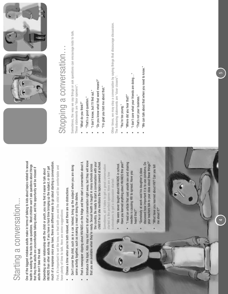## Starting a conversation... Starting a conversation...

One of the biggest mistakes adults make in terms of talking to kids about topics related to sexual One of the biggest mistakes adults make in terms of talking to kids about topics related to sexual health is waiting for the kids to ask questions. Most children won't ask questions about things health is waiting for the kids to ask questions. Most children won't ask questions about things that they think adults are uncomfortable talking about, and the opportunity will be missed if that they think adults are uncomfortable talking about, and the opportunity will be missed if adults don't take the lead. adults don't take the lead.

much of a response once you have, there are different ways to go about starting a conversation. much of a response once you have, there are different ways to go about starting a conversation. HIV/AIDS than other adults may. If you have a hard time bringing up the subject, or don't get HIV/AIDS than other adults may. If you have a hard time bringing up the subject, or don't get Depending on your relationship with the child or youth, you may find it easier to talk about Depending on your relationship with the child or youth, you may find it easier to talk about

First, it's important to set the tone, so that both you and the child will be comfortable and First, it's important to set the tone, so that both you and the child will be comfortable and have plenty of time to talk. Here are some suggestions: have plenty of time to talk. Here are some suggestions:

- Choose a time when you're both relaxed, and there are no distractions. Choose a time when you're both relaxed, and there are no distractions.
- Don't corner the child, such as in a car. Instead, bring up the subject when you are doing Don't corner the child, such as in a car. Instead, bring up the subject when you are doing some activity together, such as making a meal or doing the dishes. some activity together, such as making a meal or doing the dishes.
- Post a newspaper clipping about HIV/AIDS on the fridge and then start a conversation about it. • Post a newspaper clipping about HIV/AIDS on the fridge and then start a conversation about it.
- Introduce the topic. Kids may not want to start a conversation right away, but they will know • Introduce the topic. Kids may not want to start a conversation right away, but they will know that you are available when they're ready. Sexual health is taught in many schools across that you are available when they're ready. Sexual health is taught in many schools across

the country. Be ready to start a conversation with your child if he or she mentions the topics covered at school. child if he or she mentions the topics covered at school. the country. Be ready to start a conversation with your

Sometimes, all it takes to get a great conversation Sometimes, all it takes to get a great conversation started is the perfect opener. Here are a few started is the perfect opener. Here are a few icebreakers to get a discussion started: icebreakers to get a discussion started:

- Have you learned anything about HIV/AIDS this year?" Have you learned anything about HIV/AIDS this year?" "We were never taught about HIV/AIDS in school. • "We were never taught about HIV/AIDS in school.
- "I read an article that said unsafe sex and sharing • "I read an article that said unsafe sex and sharing needles is causing HIV to spread. Have you needles is causing HIV to spread. Have you heard this?"
- your teachers talk to your class about these things?" discussed how important it is to use condoms. Do discussed how important it is to use condoms. Do your teachers talk to your class about these things?" "Somebody at work said his daughter's class • "Somebody at work said his daughter's class
	- "What have you learned about HIV? Can you tell "What have you learned about HIV? Can you tell me about it?" me about it?"



5





# Stopping a conversation... Stopping a conversation..

Sometimes, the way we say things or ask questions can encourage kids to talk. Sometimes, the way we say things or ask questions can encourage kids to talk. These statements are "door openers": These statements are "door openers":

- "What do you think?" • "What do you think?"
- "That's a good question." • "That's a good question."
- "I don't know, but I'll find out." • "I don't know, but I'll find out."
- "Do you know what that word means?" • "Do you know what that word means?"
- "I'm glad you told me about that." • "I'm glad you told me about that."

Other times, we may stop a conversation by saying things that discourage discussion. Other times, we may stop a conversation by saying things that discourage discussion. The following statements are "door closers": The following statements are "door closers":

- "You're too young." • "You're too young."
- "Where did you hear that?" • "Where did you hear that?"
- "I don't care what your friends are doing…" "I don't care what your friends are doing...
- "That's not your business." • "That's not your business."
- "We can talk about that when you need to know." • "We can talk about that when you need to know."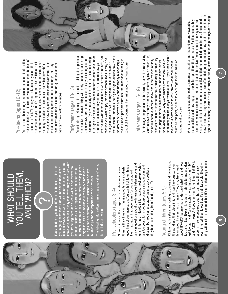

#### YOU TELL THEM, WHAT SHOULD AND WHEN? HAT SHOU  $\left(\begin{array}{c} \text{ } \\ \text{ } \\ \text{ } \\ \text{ } \end{array}\right)$

know. And, kids will usually take what they need from what about HIV/AIDS, and what kind of information they need to about HIV/AIDS, and what kind of information they need to The following information is meant as a guideline of what The following information is meant as a guideline of what Every child and youth is different. As the adult, it is up to bunch of "little talks" will be more effective than just one bunch of "little talks" will be more effective than just one Every child and youth is different. As the adult, it is up to know. And, kids will usually take what they need from w ou are telling them, and discard what is not relevant to you are telling them, and discard what is not relevant to ou to gauge what facts kids will be able to understand you to gauge what facts kids will be able to understand "big talk." It's also important to remember that kids of hem at the time. So it's important to remember that a big talk." It's also important to remember that kids of them at the time. So it's important to remember that a all ages can benefit from conversations about healthy ages can benefit from conversations about healthy relationships and the importance of self-respect. lationships and the importance of self-respect. o tell kids, and when.

### Pre-schoolers (ages 3-4) Pre-schoolers (ages 3-4)

to tell kids, and when.

girls. In terms of HIV/AIDS information, most pre-schoolers answer questions about the differences between boys and answer questions about the differences between boys and girls. In terms of HIV/AIDS information, most pre-schoolers good lines of communication. You can tell children things are too young for in-depth discussions about viruses and good lines of communication. You can tell children things are too young for in-depth discussions about viruses and disease, but you can encourage them to ask questions if disease, but you can encourage them to ask questions if Some children at this stage can understand much more Some children at this stage can understand much more than we think they can. This is a good time to establish than we think they can. This is a good time to establish ike what sex is, introduce names for body parts, and like what sex is, introduce names for body parts, and they heard something from friends, or on TV. they heard something from friends, or on TV.

## foung children (ages 5-9) Young children (ages 5-9)

t's transmitted. Explain it to them in simple terms, and don't it's transmitted. Explain it to them in simple terms, and don't and "AIDS" mean. And you may want to tell them that HIV is they will need to understand that HIV is not that easy to catch. Children at this stage are starting to understand more about about HIV/AIDS, but may not understand what it is and how and "AIDS" mean. And you may want to tell them that HIV is they will need to understand that HIV is not that easy to catch Children at this stage are starting to understand more about get too technical. You can explain what the acronyms "HIV" about HIV/AIDS, but may not understand what it is and how get too technical. You can explain what the acronyms "HIV" over time. Let them know that it's not like a cold, though over time. Let them know that it's not like a cold, though – the world and their place in it, and may have questions or ears about illnesses and diseases. They may have heard the world and their place in it, and may have questions or fears about illnesses and diseases. They may have heard a germ in some people's blood that can make them sick a germ in some people's blood that can make them sick

#### Pre-teens (ages 10-12) Pre-teens (ages 10-12)

Pre-teens are becoming more concerned about their bodies and their looks. At this age, they can understand the idea of Pre-teens are becoming more concerned about their bodies and their looks. At this age, they can understand the idea of concerns with you, but it's important to be available to talk, concerns with you, but it's important to be available to talk, no matter what the subject. You should talk to them about spread, and how they can protect themselves from HIV as no matter what the subject. You should talk to them about spread, and how they can protect themselves from HIV as cause and effect. They may not talk as openly about their cause and effect. They may not talk as openly about their need information about alcohol and drug use too, so that sexuality, sexual orientation, sexual activities, how HIV is well as other sexually transmitted infections (STIs). They well as other sexually transmitted infections (STIs). They need information about alcohol and drug use too, so that sexuality, sexual orientation, sexual activities, how HIV is they can make healthy decisions. they can make healthy decisions.

### Early teens (ages 13-15) Early teens (ages 13-15)

subjects. Do not avoid talking with early teens about sex, drugs subjects. Do not avoid talking with early teens about sex, drugs it up again to make sure they remember the details and under-Around this age, kids might be resistant to talking about personal it up again to make sure they remember the details and under-Around this age, kids might be resistant to talking about personal want to talk with them because you want them to be safe, not want to talk with them because you want them to be safe, not sexual health. This would be a good age to discuss how to tell uncommon. If you've already talked about it in the past, bring uncommon. If you've already talked about it in the past, bring sexual health. This would be a good age to discuss how to tell because you want to pry into their personal lives. It may also and HIV/AIDS risks, because sexual activity at this age is not because you want to pry into their personal lives. It may also and talk about peer pressure and the importance of being in and HIV/AIDS risks, because sexual activity at this age is not the difference between healthy and unhealthy relationships, and talk about peer pressure and the importance of being in the difference between healthy and unhealthy relationships, stand the realities of risky behaviours. Let them know you be a good idea to have a family doctor talk to teens about stand the realities of risky behaviours. Let them know you be a good idea to have a family doctor talk to teens about control of the decisions they make about their own bodies. control of the decisions they make about their own bodies.

### Late teens (ages 16-19) ate teens (ages 16-19)

At this stage, the pressure to be sexually active is strong. Many At this stage, the pressure to be sexually active is strong. Many youth believe that they cannot be infected by HIV or other STIs, youth believe that they cannot be infected by HIV or other STIs, them know you are always available to talk. If your teen hasn't them know you are always available to talk. If your teen hasn't behaviours such as unprotected sex and sharing needles. Try but adults need to let teens know about the realities of risky behaviours such as unprotected sex and sharing needles. Try them know that you only want what's best for them, and let but adults need to let teens know about the realities of risky not to judge their beliefs or attitudes on these topics but let health by this point, be sure to encourage them to make an them know that you only want what's best for them, and let spoken to a doctor or health care professional about sexual not to judge their beliefs or attitudes on these topics but let spoken to a doctor or health care professional about sexual health by this point, be sure to encourage them to make an appointment to do so. appointment to do so.

D

know about how drugs and alcohol can affect their judgement, and they need to know about the know about how drugs and alcohol can affect their judgement, and they need to know about the kissing, masturbation and other sexual activities that do not include penetration. Teens need to high risk of sharing needles to inject drugs (including steroids) and to do piercings or tattooing. high risk of sharing needles to inject drugs (including steroids) and to do piercings or tattooing.kissing, masturbation and other sexual activities that do not include penetration. Teens need to When it comes to teens, adults need to remember that they may have different views about sexual activity, and may engage in sex before you think they are ready. For this reason, they sexual activity, and may engage in sex before you think they are ready. For this reason, they need to know about condoms, birth control, and alternative forms of sexual activity such as When it comes to teens, adults need to remember that they may have different views about need to know about condoms, birth control, and alternative forms of sexual activity such as

 $\sim$ 

 $\circ$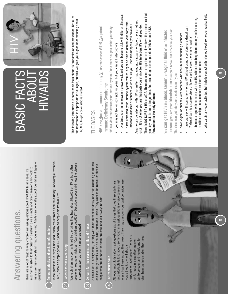| HIV/AIDS<br>BASIC FACTS                                                                                                                                                                                                                                                                                                                  |                                                                                                                                                                                                                           | The following information is some basic facts about HIV transmission and prevention. Not all of<br>the information is appropriate for all ages, but this will give you a good understanding about<br>HIV/AIDS to get conversations started.                                                | There is NO CURE for HIV or AIDS. There are some drugs that can slow down the disease so that<br>over time, your immune system grows weak and you can become sick with different illnesses<br>take part in any other activities that include contact with infected blood, semen, or vaginal fluid.<br>share sex toys with someone who has HIV without washing them properly before sharing,<br>Anyone can be infected with HIV no matter what age, sex, sexual orientation, race or ethnic<br>if left untreated, your immune system will no longer be able to defend your body from<br>infections, diseases or cancers which can kill you. Once this happens, you have AIDS.<br>origin. It's not who you are that puts you at risk for HIV infection. It's what you do.<br>have oral sex with someone who has HIV without using a condom or a dental dam<br>HIV is the Human Immunodeficiency Virus that causes AIDS, Acquired<br>HIV is a virus that attacks your immune system. Once the virus gets inside your body:<br>you stay healthier for a longer time. But these drugs cannot get rid of HIV or cure AIDS.<br>person gets into your bloodstream through a break, cut or tear in your skin.<br>You can get HIV if the blood, semen, or vaginal fluid of an infected<br>have vaginal or anal sex with someone who has HIV without using a condom<br>(A dental dam is a square piece of latex used to cover the anus or vagina.)<br>you may not feel or look sick for years, but you can still infect others<br>or without using a new condom on them for each user<br>The virus can get into your bloodstream if you:<br>Immune Deficiency Syndrome.<br>Prevention is the only defense.<br>THE BASICS | $\circ$  |
|------------------------------------------------------------------------------------------------------------------------------------------------------------------------------------------------------------------------------------------------------------------------------------------------------------------------------------------|---------------------------------------------------------------------------------------------------------------------------------------------------------------------------------------------------------------------------|--------------------------------------------------------------------------------------------------------------------------------------------------------------------------------------------------------------------------------------------------------------------------------------------|---------------------------------------------------------------------------------------------------------------------------------------------------------------------------------------------------------------------------------------------------------------------------------------------------------------------------------------------------------------------------------------------------------------------------------------------------------------------------------------------------------------------------------------------------------------------------------------------------------------------------------------------------------------------------------------------------------------------------------------------------------------------------------------------------------------------------------------------------------------------------------------------------------------------------------------------------------------------------------------------------------------------------------------------------------------------------------------------------------------------------------------------------------------------------------------------------------------------------------------------------------------------------------------------------------------------------------------------------------------------------------------------------------------------------------------------------------------------------------------------------------------------------------------------------------------------------------------------------------------------------------------------------------------------------------------------------------------|----------|
| make sure they understand what you've said. Adults can generally expect four different types of<br>important to listen to their question carefully, give a simple and direct answer, and check to<br>There are a lot of reasons why children will ask questions about HIV/AIDS. In all cases, it's<br>Answering questions.<br>questions: | These questions are fairly simple and usually result from a natural curiosity. For example, "What is<br>HN?", "How do people get AIDS?", and "Why do people die from AIDS?"<br>General curiosity and seeking information. | people. An example might be, "Can children get AIDS?" Describe to your child how the disease<br>Young children may be frightened by the things they hear about HIV/AIDS on TV or from other<br>is spread, as well as how it can be prevented.<br>Concern for their well-being.<br>$\Omega$ | to friends<br>and their larger family, such as cousins, aunts and uncles. They want to be reassured that the<br>A child's world is very small, starting with their immediate family, and then extending<br>to see how those around them react. They may question your past behaviour, use<br>uncomfortable talking about, some youth may ask questions or give opinions just<br>Although most kids seldom ask questions about things that they think adults are<br>people who are important to them are safe, and will always be safe.<br>Concern for their parents, family and friends.<br>give them the information they need.<br>response, or label people. The key is<br>but to be open and honest, and to<br>not to react in a negative manner,<br>words they know will elicit a<br>For reaction's sake.<br>$\bigoplus$<br>ၜ                                                                                                                                                                                                                                                                                                                                                                                                                                                                                                                                                                                                                                                                                                                                                                                                                                                                             | $\infty$ |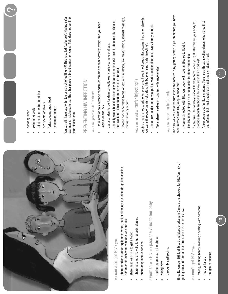

 $\Xi$ 

 $\pm$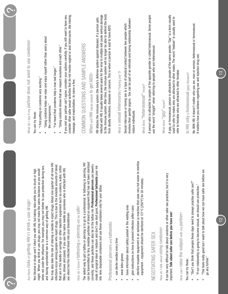| You may also take the risk of sharing a needle to inject drugs. About one quarter of all new HIV<br>infections occur among people who inject drugs. This is due to the invisible amounts of blood<br>that are in the needle or syringe (or other injection equipment such as cookers, water, cotton<br>when not under the influence. For example, you may not bother to use protection during sex,<br>filters, straws and pipes). If you use the same needle as someone who is infected with HIV,<br>might. When you drink or use drugs, you may not make the same decisions as you would<br>Yes! Alcohol or drugs won't infect you with HIV, but taking risks while you're drunk or high<br>and having unprotected sex is a common way of getting HIV. | What do I say if my partner does not want to use condoms?                                                                                                                                                     |
|---------------------------------------------------------------------------------------------------------------------------------------------------------------------------------------------------------------------------------------------------------------------------------------------------------------------------------------------------------------------------------------------------------------------------------------------------------------------------------------------------------------------------------------------------------------------------------------------------------------------------------------------------------------------------------------------------------------------------------------------------------|---------------------------------------------------------------------------------------------------------------------------------------------------------------------------------------------------------------|
|                                                                                                                                                                                                                                                                                                                                                                                                                                                                                                                                                                                                                                                                                                                                                         | You can try these:                                                                                                                                                                                            |
|                                                                                                                                                                                                                                                                                                                                                                                                                                                                                                                                                                                                                                                                                                                                                         | "I find putting on condoms very exciting."                                                                                                                                                                    |
|                                                                                                                                                                                                                                                                                                                                                                                                                                                                                                                                                                                                                                                                                                                                                         |                                                                                                                                                                                                               |
|                                                                                                                                                                                                                                                                                                                                                                                                                                                                                                                                                                                                                                                                                                                                                         | "Using condoms helps me relax and enjoy myself rather than worry about<br>the consequences."                                                                                                                  |
|                                                                                                                                                                                                                                                                                                                                                                                                                                                                                                                                                                                                                                                                                                                                                         | "I've heard that condoms help a man last longer."                                                                                                                                                             |
|                                                                                                                                                                                                                                                                                                                                                                                                                                                                                                                                                                                                                                                                                                                                                         | "Using condoms shows that we respect ourselves and each other."                                                                                                                                               |
| you shoot her/his infected blood into your bloodstream.                                                                                                                                                                                                                                                                                                                                                                                                                                                                                                                                                                                                                                                                                                 | consider other safer sexual activities that do not involve vaginal or anal intercourse, like kissing,<br>If you and your partner can't agree, consider your options carefully. If you still want to have sex, |
| How do I know if tattooing or piercing will be safe?                                                                                                                                                                                                                                                                                                                                                                                                                                                                                                                                                                                                                                                                                                    | massage, and masturbation, to name a few.                                                                                                                                                                     |
| The safest way to get a tattoo or piercing is to go to a professional. In tattooing or piercing, HIN                                                                                                                                                                                                                                                                                                                                                                                                                                                                                                                                                                                                                                                    | COMMON QUESTIONS AND SAMPLE ANSWERS                                                                                                                                                                           |
| can be transmitted by tiny, invisible particles of blood on equipment that has not been sterilized<br>correctly; and these particles can also be in the tattoo ink. Professional piercers use jewelry                                                                                                                                                                                                                                                                                                                                                                                                                                                                                                                                                   | When will HIV cause people to get AIDS?                                                                                                                                                                       |
| made of surgical steel or niobium and don't use stud guns. Professional tattooists pour ink<br>into new, disposable containers and use these containers only for your tattoo.                                                                                                                                                                                                                                                                                                                                                                                                                                                                                                                                                                           | infected with HN, it usually takes several years for the virus to multiply and cause serious damage<br>HIV attacks the immune system (the body's defense system against disease). If a person gets            |
| Professional piercers and tattooists:                                                                                                                                                                                                                                                                                                                                                                                                                                                                                                                                                                                                                                                                                                                   | to the immune system. After time, the immune system will no longer be able to defend the body<br>from deadly infections, diseases or cancers. This is when a person is said to have AIDS.                     |
| use sterile needles every time                                                                                                                                                                                                                                                                                                                                                                                                                                                                                                                                                                                                                                                                                                                          | What is SeXual intercourse ("having sex")?                                                                                                                                                                    |
| wear latex gloves                                                                                                                                                                                                                                                                                                                                                                                                                                                                                                                                                                                                                                                                                                                                       |                                                                                                                                                                                                               |
| have information about safety posted in the waiting area                                                                                                                                                                                                                                                                                                                                                                                                                                                                                                                                                                                                                                                                                                | involves their genital organs. Sex can be part of an intimate and loving relationship between<br>Sexual intercourse or having sex is a type of physical contact between two people which                      |
| give instructions on how to prevent infection (after-care)                                                                                                                                                                                                                                                                                                                                                                                                                                                                                                                                                                                                                                                                                              | mature individuals.                                                                                                                                                                                           |
| sterilize reusable equipment in an autoclave (a machine that uses very hot water to sterilize<br>equipment - equipment should be sterilized at 121°C [250°F] for 30 minutes).                                                                                                                                                                                                                                                                                                                                                                                                                                                                                                                                                                           | What does "heterosexual" mean?                                                                                                                                                                                |
|                                                                                                                                                                                                                                                                                                                                                                                                                                                                                                                                                                                                                                                                                                                                                         |                                                                                                                                                                                                               |
| NEGOTIATING SAFER SEX                                                                                                                                                                                                                                                                                                                                                                                                                                                                                                                                                                                                                                                                                                                                   | A person who is attracted to people of the opposite gender is called heterosexual. Some people<br>use the word "straight" when referring to people who are heterosexual.                                      |
| How do I talk about Using condoms?                                                                                                                                                                                                                                                                                                                                                                                                                                                                                                                                                                                                                                                                                                                      | What does "gay" mean?                                                                                                                                                                                         |
| It can be very difficult to talk about condoms or other safer sex practices, but it is very<br>important. Talk about safer sex before you have sex!                                                                                                                                                                                                                                                                                                                                                                                                                                                                                                                                                                                                     | A gay, or homosexual, person is attracted to people of the same gender. "Gay" is a term usually<br>used to refer to males who are attracted to other males. The word "lesbian" is usually used to             |
| How can I raise the subject with my partner?                                                                                                                                                                                                                                                                                                                                                                                                                                                                                                                                                                                                                                                                                                            | refer to females who are attracted to other females.                                                                                                                                                          |
| You can try these:                                                                                                                                                                                                                                                                                                                                                                                                                                                                                                                                                                                                                                                                                                                                      | Is HIV only a homosexual (gay) disease?                                                                                                                                                                       |
| "Don't you think that people these days need to always practise safer sex?"                                                                                                                                                                                                                                                                                                                                                                                                                                                                                                                                                                                                                                                                             | No. With HIV, it doesn't matter who you are, man or woman, heterosexual or homosexual.                                                                                                                        |
| "If our relationship is going to become sexual, we should use protection."                                                                                                                                                                                                                                                                                                                                                                                                                                                                                                                                                                                                                                                                              | It matters how you behave regarding sex and injection drug use.                                                                                                                                               |

13

12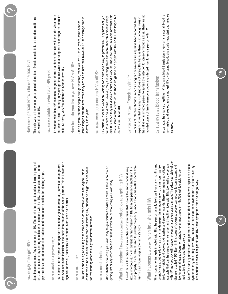| How do gay men get HIV?                                                                                                                                                                                                                                                                                                                                                                                                                                                                                                                                                                                                                                                                                                                      | How does a person know if he or she has HIV?                                                                                                                                                                                                                                                           |
|----------------------------------------------------------------------------------------------------------------------------------------------------------------------------------------------------------------------------------------------------------------------------------------------------------------------------------------------------------------------------------------------------------------------------------------------------------------------------------------------------------------------------------------------------------------------------------------------------------------------------------------------------------------------------------------------------------------------------------------------|--------------------------------------------------------------------------------------------------------------------------------------------------------------------------------------------------------------------------------------------------------------------------------------------------------|
| Just like anyone else. Any person can get HIV if he or she has unprotected sex, including vaginal,<br>oral, and anal sex, or by sharing needles with someone who has HIV. Like anyone else, some<br>gay men have unprotected anal or oral sex, and some share needles for injecting drugs.                                                                                                                                                                                                                                                                                                                                                                                                                                                   | The only way to know is to get a special blood test. People should talk to their doctors if they<br>are worried about HIV.                                                                                                                                                                             |
|                                                                                                                                                                                                                                                                                                                                                                                                                                                                                                                                                                                                                                                                                                                                              | How did the children who have HIV get it?                                                                                                                                                                                                                                                              |
| sex. Anal sex is the insertion of the penis into the anus of the sexual partner. This is known as a<br>HIV infection can be spread through both anal and vaginal intercourse, as well as through oral<br>high-risk behaviour, especially if a condom is not used as a barrier.<br>What is anal Sex (intercourse)?                                                                                                                                                                                                                                                                                                                                                                                                                            | her unborn child. The baby may also get infected while it is being born or through the mother's<br>If a woman who has HIV becomes pregnant, there is a chance that she will pass the virus on to<br>milk. Currently, very few children in Canada have HIV.                                             |
|                                                                                                                                                                                                                                                                                                                                                                                                                                                                                                                                                                                                                                                                                                                                              | How long do you live if you have HIV or AIDS?                                                                                                                                                                                                                                                          |
| considered to be a low-risk behaviour for transmitting HIV, but can be a high-risk behaviour<br>Oral sex is the licking or sucking of the male penis or the female vulva and vagina. This is<br>for transmitting other sexually transmitted infections.<br>What is Oral Sex?                                                                                                                                                                                                                                                                                                                                                                                                                                                                 | some longer. From the time when they are said to have "full-blown AIDS", the average time is<br>Starting from the time people first get infected, most will live 10 to 20 years, some shorter,<br>shorter, 1 to 2 years.                                                                               |
|                                                                                                                                                                                                                                                                                                                                                                                                                                                                                                                                                                                                                                                                                                                                              | Will there ever be a cure for HIV or AIDS?                                                                                                                                                                                                                                                             |
| What is masturbation?                                                                                                                                                                                                                                                                                                                                                                                                                                                                                                                                                                                                                                                                                                                        | Scientists all over the world are looking for a cure and a way to prevent HIV. They have not yet                                                                                                                                                                                                       |
| Masturbation is touching your own body to give yourself sexual pleasure. There is no risk of<br>getting HIV or any other disease or illness if you are only touching your own body.                                                                                                                                                                                                                                                                                                                                                                                                                                                                                                                                                          | day, it is hoped they will discover a cure and a vaccine. There are drugs available now that help<br>relieve some of the effects of HN. These drugs also help people with HIV or AIDS live longer, but<br>found a cure or a vaccine. However, they are learning more and more about this disease every |
| What is a condom? How does a condom protect you from getting HIV?                                                                                                                                                                                                                                                                                                                                                                                                                                                                                                                                                                                                                                                                            | do not cure HIV or AIDS.                                                                                                                                                                                                                                                                               |
| sexual intercourse. It can prevent the transmission of HIV from one person to another if it is<br>A condom is a thin piece of latex rubber or polyurethane that covers the entire penis during                                                                                                                                                                                                                                                                                                                                                                                                                                                                                                                                               | Can you get HIV from "French kissing"?                                                                                                                                                                                                                                                                 |
| used properly. It can also be used to prevent pregnancy since it stops the male's sperm from<br>reaching an ovum (egg) in the female's body.                                                                                                                                                                                                                                                                                                                                                                                                                                                                                                                                                                                                 | the saliva of an infected person to spread the infection to someone through a kiss. There are no<br>experts agree that kissing is OK and does not spread HIV because there is not enough virus in<br>No cases of infection through French kissing or open-mouth kissing have been reported. Most       |
| What happens to a person when he or she gets HIV?                                                                                                                                                                                                                                                                                                                                                                                                                                                                                                                                                                                                                                                                                            | reported cases of family members becoming infected from kissing a person with HIV.                                                                                                                                                                                                                     |
| with HIV may get sick with cancer, pneumonia or even brain damage. The advanced state of the<br>person<br>When someone first gets infected with HIV, the person usually feels well for many months and<br>possibly years. But, gradually, as the virus damages the immune system, the person may feel<br>disease is called AIDS. Even in this stage of sickness, people can recover to some extent and<br>tired, lose weight, and develop skin rashes and swollen glands. There are many medications<br>live for several years. Sooner or later, however, most people with AIDS get too sick for the<br>available that can help people to live longer and healthier lives with HIV. Eventually the<br>medication to work, and then they die. | now tested and treated. You cannot get HIV by donating blood, since only new, sterilized needles<br>In Canada, the chance of getting HIV through a blood transfusion is very small since all blood is<br>Can I get HIV from a blood transfusion?<br>are used.                                          |
| (Note: The early symptoms are so general and common that some kids who experience these<br>symptoms may think they have HIV. Reassure them that these symptoms are also caused by<br>less serious illnesses. For people with HIV, these symptoms often do not go away.)                                                                                                                                                                                                                                                                                                                                                                                                                                                                      |                                                                                                                                                                                                                                                                                                        |

15

14